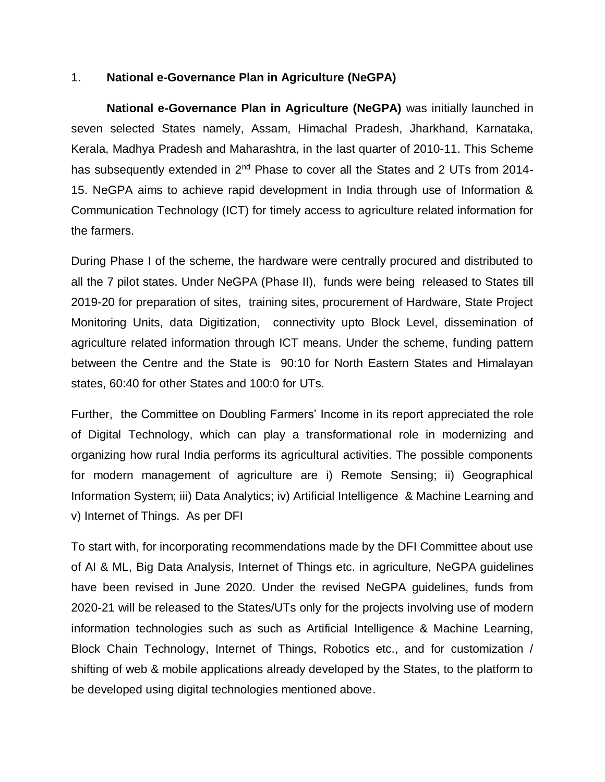## 1. **National e-Governance Plan in Agriculture (NeGPA)**

**National e-Governance Plan in Agriculture (NeGPA)** was initially launched in seven selected States namely, Assam, Himachal Pradesh, Jharkhand, Karnataka, Kerala, Madhya Pradesh and Maharashtra, in the last quarter of 2010-11. This Scheme has subsequently extended in 2<sup>nd</sup> Phase to cover all the States and 2 UTs from 2014-15. NeGPA aims to achieve rapid development in India through use of Information & Communication Technology (ICT) for timely access to agriculture related information for the farmers.

During Phase I of the scheme, the hardware were centrally procured and distributed to all the 7 pilot states. Under NeGPA (Phase II), funds were being released to States till 2019-20 for preparation of sites, training sites, procurement of Hardware, State Project Monitoring Units, data Digitization, connectivity upto Block Level, dissemination of agriculture related information through ICT means. Under the scheme, funding pattern between the Centre and the State is 90:10 for North Eastern States and Himalayan states, 60:40 for other States and 100:0 for UTs.

Further, the Committee on Doubling Farmers' Income in its report appreciated the role of Digital Technology, which can play a transformational role in modernizing and organizing how rural India performs its agricultural activities. The possible components for modern management of agriculture are i) Remote Sensing; ii) Geographical Information System; iii) Data Analytics; iv) Artificial Intelligence & Machine Learning and v) Internet of Things. As per DFI

To start with, for incorporating recommendations made by the DFI Committee about use of AI & ML, Big Data Analysis, Internet of Things etc. in agriculture, NeGPA guidelines have been revised in June 2020. Under the revised NeGPA guidelines, funds from 2020-21 will be released to the States/UTs only for the projects involving use of modern information technologies such as such as Artificial Intelligence & Machine Learning, Block Chain Technology, Internet of Things, Robotics etc., and for customization / shifting of web & mobile applications already developed by the States, to the platform to be developed using digital technologies mentioned above.